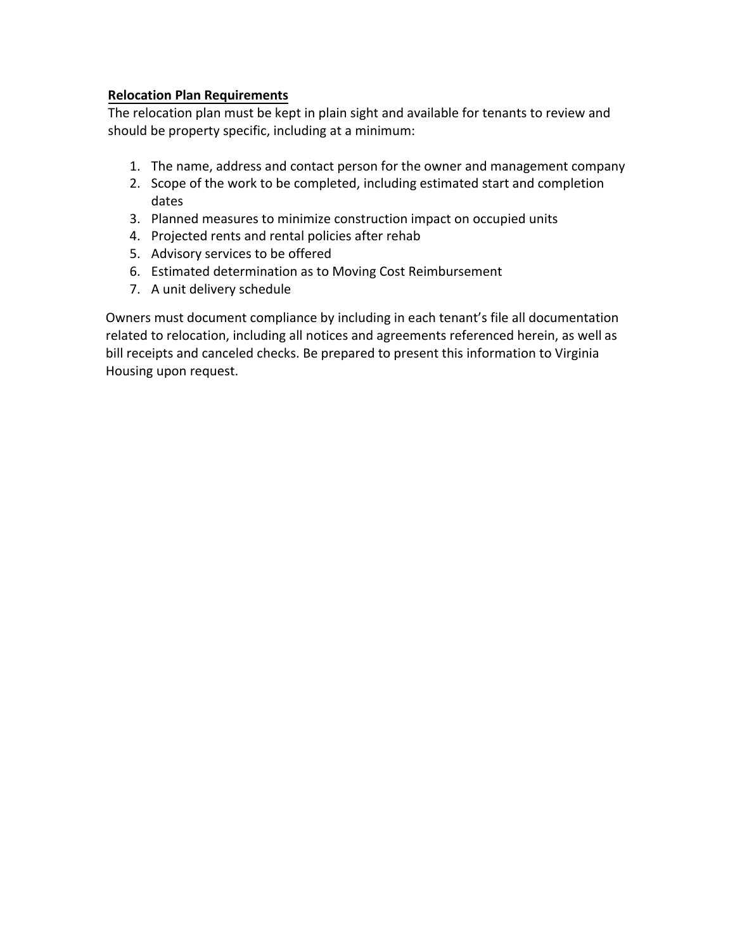### **Relocation Plan Requirements**

The relocation plan must be kept in plain sight and available for tenants to review and should be property specific, including at a minimum:

- 1. The name, address and contact person for the owner and management company
- 2. Scope of the work to be completed, including estimated start and completion dates
- 3. Planned measures to minimize construction impact on occupied units
- 4. Projected rents and rental policies after rehab
- 5. Advisory services to be offered
- 6. Estimated determination as to Moving Cost Reimbursement
- 7. A unit delivery schedule

Owners must document compliance by including in each tenant's file all documentation related to relocation, including all notices and agreements referenced herein, as well as bill receipts and canceled checks. Be prepared to present this information to Virginia Housing upon request.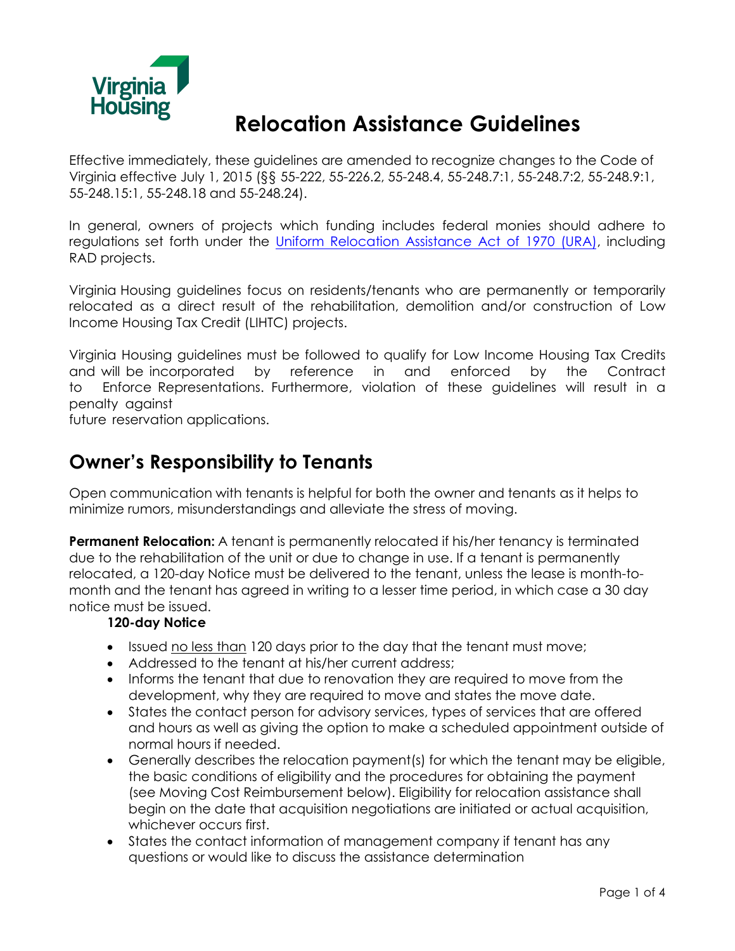

# **Relocation Assistance Guidelines**

Effective immediately, these guidelines are amended to recognize changes to the Code of Virginia effective July 1, 2015 (§§ 55-222, 55-226.2, 55-248.4, 55-248.7:1, 55-248.7:2, 55-248.9:1, 55-248.15:1, 55-248.18 and 55-248.24).

In general, owners of projects which funding includes federal monies should adhere to regulations set forth under the Uniform Relocation Assistance Act [of 1970 \(URA\),](http://portal.hud.gov/hudportal/HUD?src=/program_offices/comm_planning/affordablehousing/training/web/relocation/overview) including RAD projects.

Virginia Housing guidelines focus on residents/tenants who are permanently or temporarily relocated as a direct result of the rehabilitation, demolition and/or construction of Low Income Housing Tax Credit (LIHTC) projects.

Virginia Housing guidelines must be followed to qualify for Low Income Housing Tax Credits and will be incorporated by reference in and enforced by the Contract to Enforce Representations. Furthermore, violation of these guidelines will result in a penalty against

future reservation applications.

# **Owner's Responsibility to Tenants**

Open communication with tenants is helpful for both the owner and tenants as it helps to minimize rumors, misunderstandings and alleviate the stress of moving.

**Permanent Relocation:** A tenant is permanently relocated if his/her tenancy is terminated due to the rehabilitation of the unit or due to change in use. If a tenant is permanently relocated, a 120-day Notice must be delivered to the tenant, unless the lease is month-tomonth and the tenant has agreed in writing to a lesser time period, in which case a 30 day notice must be issued.

### **120-day Notice**

- Issued no less than 120 days prior to the day that the tenant must move;
- Addressed to the tenant at his/her current address;
- Informs the tenant that due to renovation they are required to move from the development, why they are required to move and states the move date.
- States the contact person for advisory services, types of services that are offered and hours as well as giving the option to make a scheduled appointment outside of normal hours if needed.
- Generally describes the relocation payment(s) for which the tenant may be eligible, the basic conditions of eligibility and the procedures for obtaining the payment (see Moving Cost Reimbursement below). Eligibility for relocation assistance shall begin on the date that acquisition negotiations are initiated or actual acquisition, whichever occurs first.
- States the contact information of management company if tenant has any questions or would like to discuss the assistance determination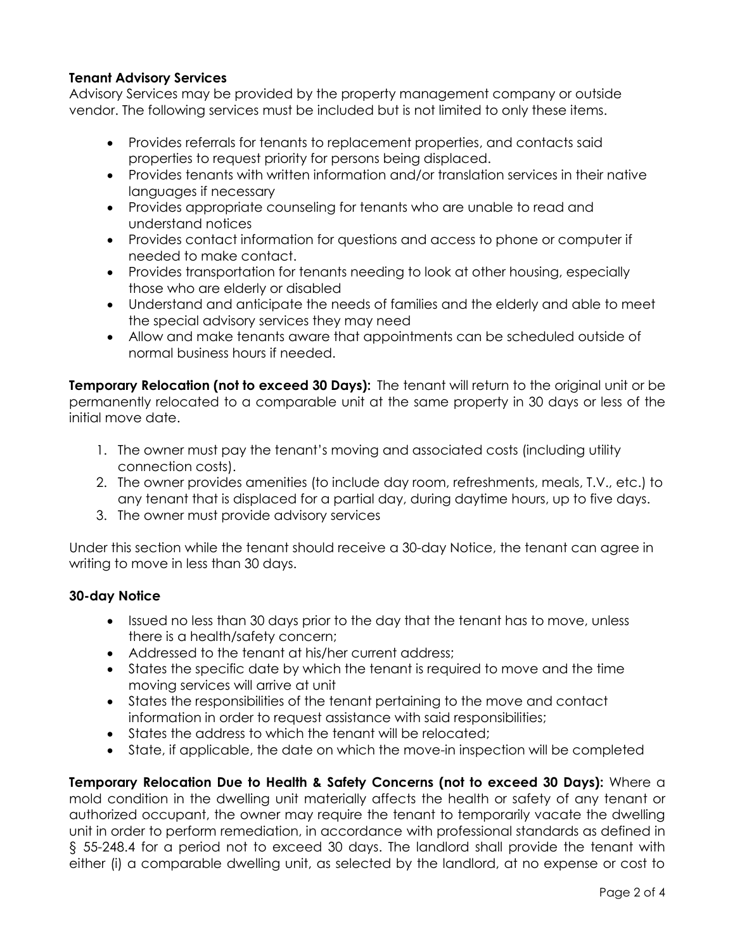# **Tenant Advisory Services**

Advisory Services may be provided by the property management company or outside vendor. The following services must be included but is not limited to only these items.

- Provides referrals for tenants to replacement properties, and contacts said properties to request priority for persons being displaced.
- Provides tenants with written information and/or translation services in their native languages if necessary
- Provides appropriate counseling for tenants who are unable to read and understand notices
- Provides contact information for questions and access to phone or computer if needed to make contact.
- Provides transportation for tenants needing to look at other housing, especially those who are elderly or disabled
- Understand and anticipate the needs of families and the elderly and able to meet the special advisory services they may need
- Allow and make tenants aware that appointments can be scheduled outside of normal business hours if needed.

**Temporary Relocation (not to exceed 30 Days):** The tenant will return to the original unit or be permanently relocated to a comparable unit at the same property in 30 days or less of the initial move date.

- 1. The owner must pay the tenant's moving and associated costs (including utility connection costs).
- 2. The owner provides amenities (to include day room, refreshments, meals, T.V., etc.) to any tenant that is displaced for a partial day, during daytime hours, up to five days.
- 3. The owner must provide advisory services

Under this section while the tenant should receive a 30-day Notice, the tenant can agree in writing to move in less than 30 days.

# **30-day Notice**

- Issued no less than 30 days prior to the day that the tenant has to move, unless there is a health/safety concern;
- Addressed to the tenant at his/her current address;
- States the specific date by which the tenant is required to move and the time moving services will arrive at unit
- States the responsibilities of the tenant pertaining to the move and contact information in order to request assistance with said responsibilities;
- States the address to which the tenant will be relocated;
- State, if applicable, the date on which the move-in inspection will be completed

**Temporary Relocation Due to Health & Safety Concerns (not to exceed 30 Days):** Where a mold condition in the dwelling unit materially affects the health or safety of any tenant or authorized occupant, the owner may require the tenant to temporarily vacate the dwelling unit in order to perform remediation, in accordance with professional standards as defined in § [55-248.4](http://law.lis.virginia.gov/vacode/55-248.4/) for a period not to exceed 30 days. The landlord shall provide the tenant with either (i) a comparable dwelling unit, as selected by the landlord, at no expense or cost to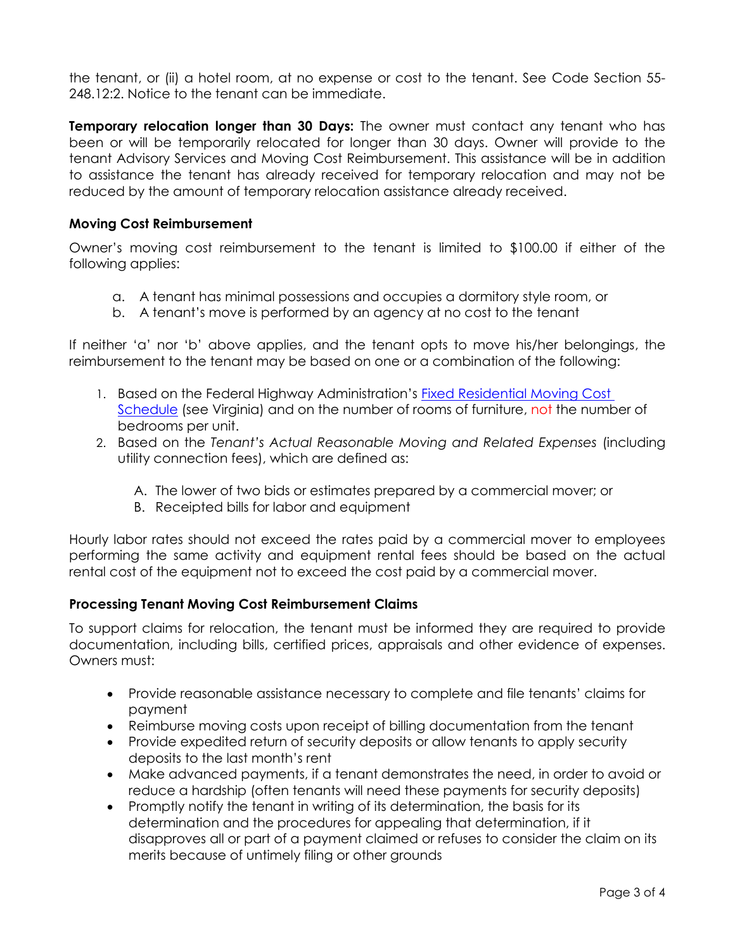the tenant, or (ii) a hotel room, at no expense or cost to the tenant. See Code Section 55- 248.12:2. Notice to the tenant can be immediate.

**Temporary relocation longer than 30 Days:** The owner must contact any tenant who has been or will be temporarily relocated for longer than 30 days. Owner will provide to the tenant Advisory Services and Moving Cost Reimbursement. This assistance will be in addition to assistance the tenant has already received for temporary relocation and may not be reduced by the amount of temporary relocation assistance already received.

### **Moving Cost Reimbursement**

Owner's moving cost reimbursement to the tenant is limited to \$100.00 if either of the following applies:

- a. A tenant has minimal possessions and occupies a dormitory style room, or
- b. A tenant's move is performed by an agency at no cost to the tenant

If neither 'a' nor 'b' above applies, and the tenant opts to move his/her belongings, the reimbursement to the tenant may be based on one or a combination of the following:

- 1. Based on the Federal Highway Administration's [Fixed Residential Moving Cost](http://www.fhwa.dot.gov/real_estate/uniform_act/relocation/moving_cost_schedule.cfm) [Schedule](http://www.fhwa.dot.gov/real_estate/uniform_act/relocation/moving_cost_schedule.cfm) (see Virginia) and on the number of rooms of furniture, not the number of bedrooms per unit.
- 2. Based on the *Tenant's Actual Reasonable Moving and Related Expenses* (including utility connection fees), which are defined as:
	- A. The lower of two bids or estimates prepared by a commercial mover; or
	- B. Receipted bills for labor and equipment

Hourly labor rates should not exceed the rates paid by a commercial mover to employees performing the same activity and equipment rental fees should be based on the actual rental cost of the equipment not to exceed the cost paid by a commercial mover.

### **Processing Tenant Moving Cost Reimbursement Claims**

To support claims for relocation, the tenant must be informed they are required to provide documentation, including bills, certified prices, appraisals and other evidence of expenses. Owners must:

- Provide reasonable assistance necessary to complete and file tenants' claims for payment
- Reimburse moving costs upon receipt of billing documentation from the tenant
- Provide expedited return of security deposits or allow tenants to apply security deposits to the last month's rent
- Make advanced payments, if a tenant demonstrates the need, in order to avoid or reduce a hardship (often tenants will need these payments for security deposits)
- Promptly notify the tenant in writing of its determination, the basis for its determination and the procedures for appealing that determination, if it disapproves all or part of a payment claimed or refuses to consider the claim on its merits because of untimely filing or other grounds